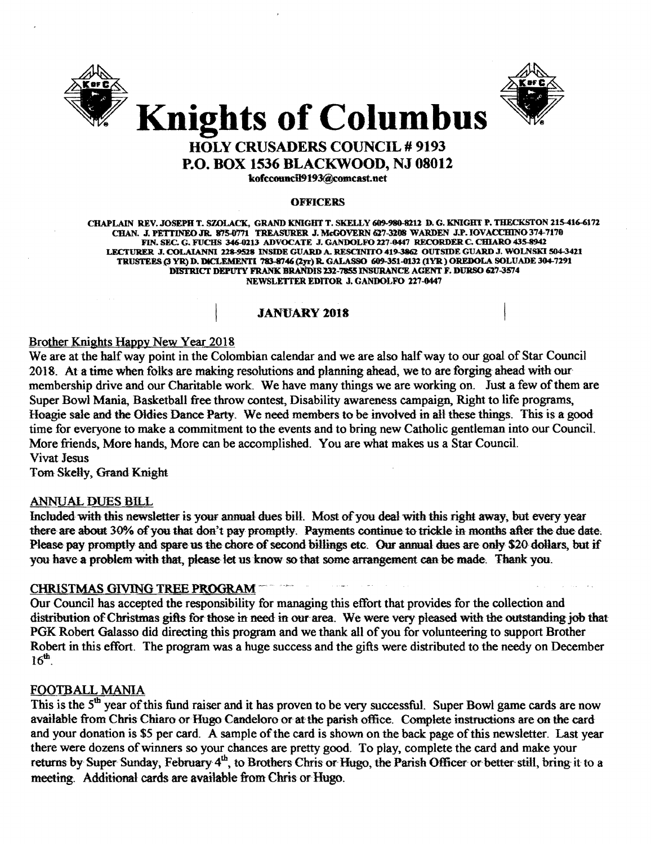



# HOLY CRUSADERS COUNCIL # 9193 P.O. BOX 1536 BLACKWOOD, NJ 08012 kofccouncil9193@comcast.net

#### **OFFICERS**

CHAPLAIN REV. JOSEPH T. SZOLACK, GRAND KNIGHT T. SKELLY 609-980-8212 D. G. KNIGHT P. THECKSTON 215-416-6172 CHAN. J. PETTINEO JR. 875-0771 TREASURER J. McGOVERN 627-3208 WARDEN J.P. IOVACCHINO 374-7170 FIN. SEC. G. FUCHS 346-0213 ADVOCATE J. GANDOLFO 227-0447 RECORDER C. CHIARO 435-8942 LECTURER .I. COLAIANNI 228-9528 INSIDE GUARD A. RESCINITO 419-3862 OUTSIDE GUARD.I. WOLNSKI 504-3411 TRUSTEES (3 YR) D. DICLEMENTI 783-8746 (2yr) R. GALASSO 609-351-0132 (IYR ) OREDOLA SOLUADE 304-7291 DISTRICT DEPUTY FRANK1IR.ANDIS 232-7855 INSURANCE AGENT F. DURSO &27-3574 NEWSLETTER EDITOR J. GANDOLFO 227-0447

#### JANUARY 2018

#### Brother Knights Happy New Year 2018

We are at the half way point in the Colombian calendar and we are also half way to our goal of Star Council 2018. At a time when folks are making resolutions and planning ahead, we to are forging· ahead with our membership drive and our Charitable work. We have many things we are working on. Just a few of them are Super Bowl Mania, Basketball free throw contest, Disability awareness campaign, Right to life programs, Hoagie sale and the Oldies Dance Party. We need members to be involved in all these things. This is a good time for everyone to make a commitment to the events and to bring new Catholic gentleman into our Council. More friends, More hands, More can be accomplished. You are what makes us a Star Council. Vivat Jesus

Tom Skelly, Grand Knight

#### ANNUAL DUES BILL

Included with this newsletter is your annual dues bill. Most of you deal with this right away, but every year there are about 30% of you that don't pay promptly. Payments continue to trickle in months after the due date; Please pay promptly and spare us the chore of second billings etc. Our annual dues are only \$20 dollars, but if you have a problem with that, please let us know so that some arrangement can be made. Thank you.

#### CHRISTMAS GIVING TREE PROGRAM~'

Our Council has accepted the responsibility for managing this effort that provides for the collection and distribution of Christmas gifts for those in need in our area. We were very pleased with the outstanding job that PGK Robert Galasso did directing this program and we thank all of you for volunteering to support Brother Robert in this effort. The program was a huge success and the gifts were distributed to the needy on December  $16<sup>th</sup>$ .

#### FOOTBALL MANIA

This is the 5<sup>th</sup> year of this fund raiser and it has proven to be very successful. Super Bowl game cards are now available from Chris Chiaro or Hugo Candeloro or at the parish office. Complete instructions are on the card and your donation is \$5 per card. A sample of the card is shown on the back page of this newsletter. Last year there were dozens ofwinners so your chances are pretty good. To play, complete the card and make your returns by Super Sunday, February 4<sup>th</sup>, to Brothers Chris or Hugo, the Parish Officer or better still, bring it to a meeting. Additional cards are available from Chris or Hugo.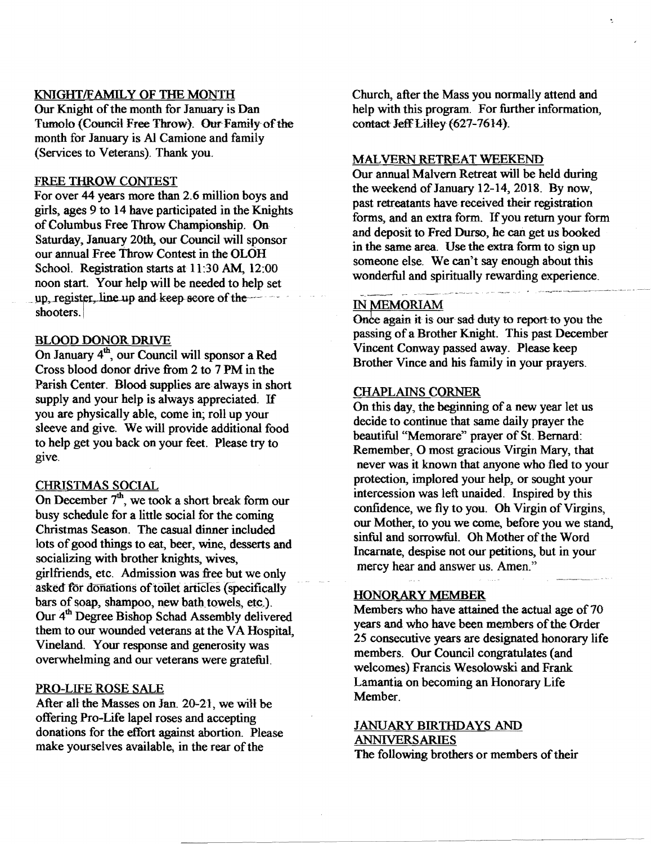#### KNIGHT/FAMILY OF THE MONTH

Our Knight of the month for January is Dan Tumolo (Council Free Throw). Our Family of the month for January is AI Camione and family (Services to Veterans). Thank you.

#### FREE THROW CONTEST

For over 44 years more than 2.6 million boys and girls, ages  $9$  to  $14$  have participated in the Knights of Columbus Free Throw Championship. On Saturday, January 20th, our Council will sponsor our annual Free Throw Contest in the OLOH School. Registration starts at 11:30 AM, 12:00 noon start. Your help will be needed to help set up, register, line up and keep score of the shooters.

#### BLOOD DONOR DRIVE

On January 4<sup>th</sup>, our Council will sponsor a Red Cross blood donor drive from 2 to 7 PM in the Parish Center. Blood supplies are always in short supply and your help is always appreciated. If you are physically able, come in; roll up your sleeve and give. We will provide additional food to help get you back on your feet. Please try to give.

#### CHRISTMAS SOCIAL

On December  $7<sup>th</sup>$ , we took a short break form our busy schedule for a little social for the coming Christmas Season. The casual dinner included lots of good things to eat, beer, wine, desserts and socializing with brother knights, wives, girlfriends, etc. Admission was free but we only asked for donations of toilet articles (specifically bars of soap, shampoo, new bath towels, etc.). Our 4<sup>th</sup> Degree Bishop Schad Assembly delivered them to our wounded veterans at the VA Hospital, Vineland. Your response and generosity was overwhelming and our veterans were grateful.

#### PRO-LIFE ROSE SALE

After all the Masses on Jan. 20-21, we will be offering Pro-Life lapel roses and accepting donations for the effort against abortion. Please make yourselves available, in the rear of the

Church, after the Mass you normally attend and help with this program. For further information, contact Jeff Lilley (627-7614).

#### MALVERN RETREAT WEEKEND

Our annual Malvern Retreat will be held during the weekend of January 12-14, 2018. By now, past retreatants have received their registration forms, and an extra form. If you return your form and deposit to Fred Durso, he can get us booked in the same area. Use the extra form to sign up someone else. We can't say enough about this wonderful and spiritually rewarding experience.

#### IN MEMORIAM

Once again it is our sad duty to report to you the passing of a Brother Knight. This past December Vincent Conway passed away. Please keep Brother Vince and his family in your prayers.

#### CHAPLAINS CORNER

On this day, the beginning of a new year let us decide to continue that same daily prayer the beautiful "Memorare" prayer of St. Bernard: Remember, 0 most gracious Virgin Mary, that never was it known that anyone who fled to your protection, implored your help, or sought your intercession was left unaided. Inspired by this confidence, we fly to you. Oh Virgin of Virgins, our Mother, to you we come, before you we stand, sinful and sorrowful. Oh Mother of the Word Incarnate, despise not our petitions, but in your mercy hear and answer us. Amen."

#### HONORARY MEMBER

Members who have attained the actual age of 70 years and who have been members of the Order 25 consecutive years are designated honorary life members. Our Council congratulates (and welcomes) Francis Wesolowski and Frank Lamantia on becoming an Honorary Life Member.

## JANUARY BIRTHDAYS AND ANNIVERSARIES

The following brothers or members of their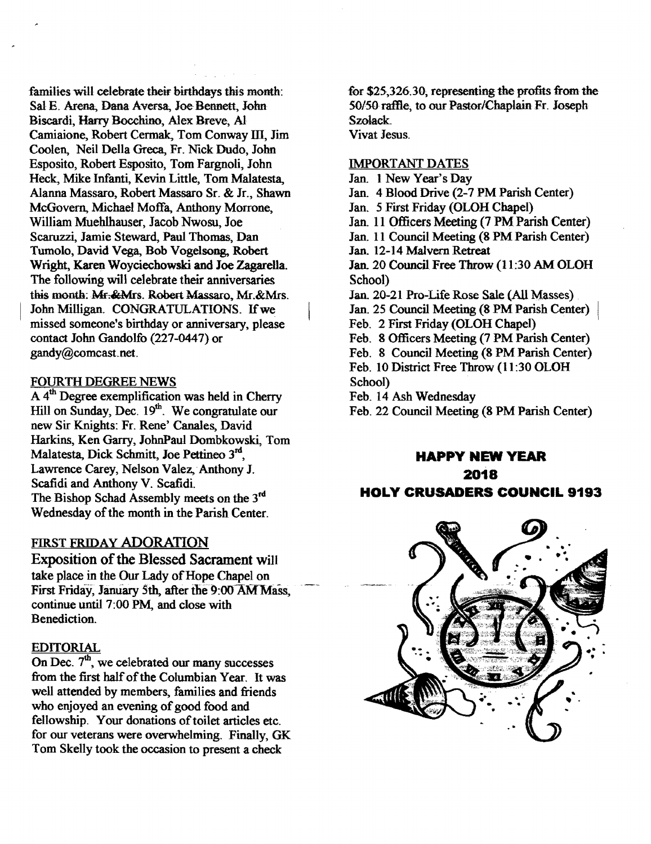families will celebrate their birthdays this month: Sal E. Arena, Dana Aversa, Joe-Bennett, John Biscardi, Harry Bocchino, Alex Breve, Al Camiaione, Robert Cermak, Tom Conway III, Jim Coolen, Neil Della Grees, Fr. Nick Dudo, John Esposito, Robert Esposito, Tom Fargnoli, John Heck, Mike Jnfanti, Kevin Little, Tom Malatesta, Alanna Massaro, Robert Massaro Sr. & Jr., Shawn McGovern, Michael Moffa, Anthony Morrone, William Muehlhauser, Jacob Nwosu, Joe Scaruzzi, Jamie Steward, Paul Thomas, Dan Tumolo, David Vega, Bob Vogelsong, Robert Wright, Karen Woyciechowski and Joe Zagarella. The following will celebrate their anniversaries this month: Mr. & Mrs. Robert Massaro, Mr. & Mrs. John Milligan. CONGRATULATIONS. If we missed someone's birthday or anniversary, please contact John Gandolfo (227-0447) or gandy@comcast.net.

## FOURTH DEGREE NEWS

A 4<sup>th</sup> Degree exemplification was held in Cherry  $H^+$  Degree examples when  $H^+$  and  $H^-$ . We congratulate our new Sir Knights: Fr. Rene' Canales, David Harkins, Ken Garry, JohnPaul Dombkowski, Tom Malatesta, Dick Schmitt, Joe Pettineo 3<sup>rd</sup>, Lawrence Carey, Nelson Valez,"Anthony J. Scafidi and Anthony V. Scafidi. The Bishop Schad Assembly meets on the 3<sup>rd</sup> Wednesday of the month in the Parish Center.

## FIRST FRIDAY ADORATION

Exposition of the Blessed Sacrament will take place in the Our Lady of Hope Chapel on First Friday, January 5th, after the 9:00 AM Mass, continue until 7:00 PM, and close with Benediction.

#### EDITORIAL

On Dec.  $7<sup>th</sup>$ , we celebrated our many successes from the first half of the Columbian Year. It was well attended by members, families and friends who enjoyed an evening of good food and fellowship. Your donations of toilet articles etc. for our veterans were overwbelming. Finally, GK Tom Skelly took the occasion to present a check

for \$25,326.30; representing the profits from the 50/50 raffle, to our Pastor/Chaplain Fr. Joseph Szolack. Vivat Jesus.

#### IMPORTANT DATES

- Jan. I New Year's Day Jan. 4 Blood Drive (2-7 PM Parish Center) Jan. 5 First Friday (OLOH Chapel) Jan. 11 Officers Meeting (7 PM Parish Center) Jan. 11 Council Meeting (8 PM Parish Center) Jan. 12-14 Malvern Retreat Jan. 20 Council Free Throw (11 :30 AM OLOH School) Jan. 20-21 Pro-Life Rose Sale (All Masses) Jan. 25 Council Meeting (8 PM Parish Center) Feb. 2 First Friday (OLOH Chapel) Feb. 8 Officers Meeting (7 PM Parish Center) Feb. 8 Council Meeting (8 PM Parish Center) Feb. 10 District Free Throw (11:30 OLOH School) Feb. 14 Ash Wednesday
- Feb. 22 Council Meeting (8 PM Parish Center)

## **HAPPY NEW YEAR**

**2018** 

# **HOLY CRUSADERS COUNCIL 9193**